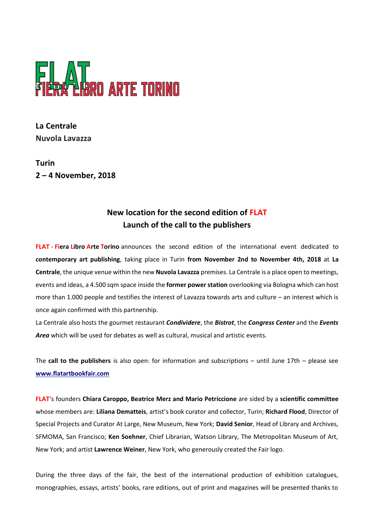

**La Centrale Nuvola Lavazza**

**Turin 2 – 4 November, 2018**

## **New location for the second edition of FLAT Launch of the call to the publishers**

**FLAT** - **Fiera Libro Arte Torino** announces the second edition of the international event dedicated to **contemporary art publishing**, taking place in Turin **from November 2nd to November 4th, 2018** at **La Centrale**, the unique venue within the new **Nuvola Lavazza** premises. La Centrale is a place open to meetings, events and ideas, a 4.500 sqm space inside the **former power station** overlooking via Bologna which can host more than 1.000 people and testifies the interest of Lavazza towards arts and culture – an interest which is once again confirmed with this partnership.

La Centrale also hosts the gourmet restaurant *Condividere*, the *Bistrot*, the *Congress Center* and the *Events Area* which will be used for debates as well as cultural, musical and artistic events.

The **call to the publishers** is also open: for information and subscriptions – until June 17th – please see **www.flatartbookfair.com**

**FLAT**'s founders **Chiara Caroppo, Beatrice Merz and Mario Petriccione** are sided by a **scientific committee** whose members are: **Liliana Dematteis**, artist's book curator and collector, Turin; **Richard Flood**, Director of Special Projects and Curator At Large, New Museum, New York; **David Senior**, Head of Library and Archives, SFMOMA, San Francisco; **Ken Soehner**, Chief Librarian, Watson Library, The Metropolitan Museum of Art, New York; and artist **Lawrence Weiner**, New York, who generously created the Fair logo.

During the three days of the fair, the best of the international production of exhibition catalogues, monographies, essays, artists' books, rare editions, out of print and magazines will be presented thanks to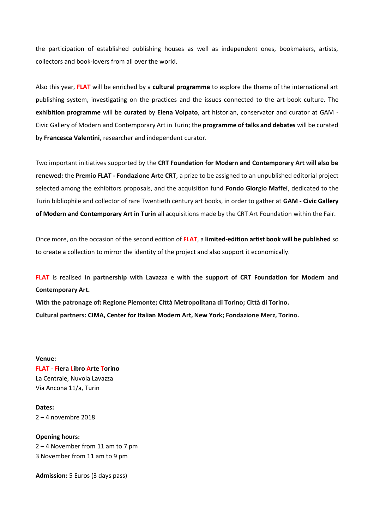the participation of established publishing houses as well as independent ones, bookmakers, artists, collectors and book-lovers from all over the world.

Also this year, **FLAT** will be enriched by a **cultural programme** to explore the theme of the international art publishing system, investigating on the practices and the issues connected to the art-book culture. The **exhibition programme** will be **curated** by **Elena Volpato**, art historian, conservator and curator at GAM - Civic Gallery of Modern and Contemporary Art in Turin; the **programme of talks and debates** will be curated by **Francesca Valentini**, researcher and independent curator.

Two important initiatives supported by the **CRT Foundation for Modern and Contemporary Art will also be renewed:** the **Premio FLAT - Fondazione Arte CRT**, a prize to be assigned to an unpublished editorial project selected among the exhibitors proposals, and the acquisition fund **Fondo Giorgio Maffei**, dedicated to the Turin bibliophile and collector of rare Twentieth century art books, in order to gather at **GAM - Civic Gallery of Modern and Contemporary Art in Turin** all acquisitions made by the CRT Art Foundation within the Fair.

Once more, on the occasion of the second edition of **FLAT**, a **limited-edition artist book will be published** so to create a collection to mirror the identity of the project and also support it economically.

**FLAT** is realised **in partnership with Lavazza** e **with the support of CRT Foundation for Modern and Contemporary Art.**

**With the patronage of: Regione Piemonte; Città Metropolitana di Torino; Città di Torino. Cultural partners: CIMA, Center for Italian Modern Art, New York; Fondazione Merz, Torino.**

**Venue: FLAT** - **Fiera Libro Arte Torino** La Centrale, Nuvola Lavazza Via Ancona 11/a, Turin

**Dates:** 2 – 4 novembre 2018

**Opening hours:** 2 – 4 November from 11 am to 7 pm 3 November from 11 am to 9 pm

**Admission:** 5 Euros (3 days pass)